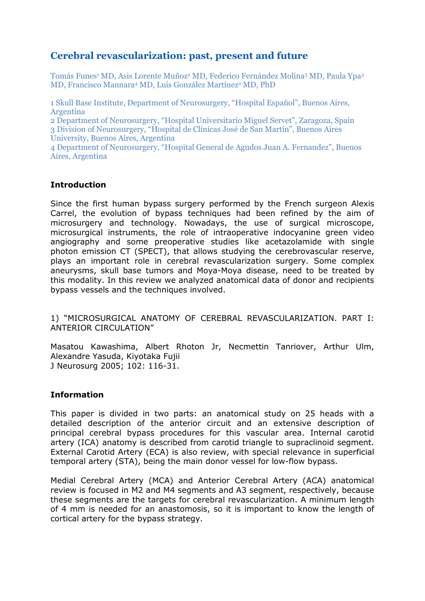# **Cerebral revascularization: past, present and future**

Tomás Funes<sup>1</sup> MD, Asis Lorente Muñoz<sup>2</sup> MD, Federico Fernández Molina<sup>3</sup> MD, Paula Ypa<sup>3</sup> MD, Francisco Mannara<sup>4</sup> MD, Luis González Martínez<sup>2</sup> MD, PhD

1 Skull Base Institute, Department of Neurosurgery, "Hospital Español", Buenos Aires, Argentina

2 Department of Neurosurgery, "Hospital Universitario Miguel Servet", Zaragoza, Spain 3 Division of Neurosurgery, "Hospital de Clínicas José de San Martín", Buenos Aires University, Buenos Aires, Argentina

4 Department of Neurosurgery, "Hospital General de Agudos Juan A. Fernandez", Buenos Aires, Argentina

#### **Introduction**

Since the first human bypass surgery performed by the French surgeon Alexis Carrel, the evolution of bypass techniques had been refined by the aim of microsurgery and technology. Nowadays, the use of surgical microscope, microsurgical instruments, the role of intraoperative indocyanine green video angiography and some preoperative studies like acetazolamide with single photon emission CT (SPECT), that allows studying the cerebrovascular reserve, plays an important role in cerebral revascularization surgery. Some complex aneurysms, skull base tumors and Moya-Moya disease, need to be treated by this modality. In this review we analyzed anatomical data of donor and recipients bypass vessels and the techniques involved.

1) "MICROSURGICAL ANATOMY OF CEREBRAL REVASCULARIZATION. PART I: ANTERIOR CIRCULATION"

Masatou Kawashima, Albert Rhoton Jr, Necmettin Tanriover, Arthur Ulm, Alexandre Yasuda, Kiyotaka Fujii J Neurosurg 2005; 102: 116-31.

# **Information**

This paper is divided in two parts: an anatomical study on 25 heads with a detailed description of the anterior circuit and an extensive description of principal cerebral bypass procedures for this vascular area. Internal carotid artery (ICA) anatomy is described from carotid triangle to supraclinoid segment. External Carotid Artery (ECA) is also review, with special relevance in superficial temporal artery (STA), being the main donor vessel for low-flow bypass.

Medial Cerebral Artery (MCA) and Anterior Cerebral Artery (ACA) anatomical review is focused in M2 and M4 segments and A3 segment, respectively, because these segments are the targets for cerebral revascularization. A minimum length of 4 mm is needed for an anastomosis, so it is important to know the length of cortical artery for the bypass strategy.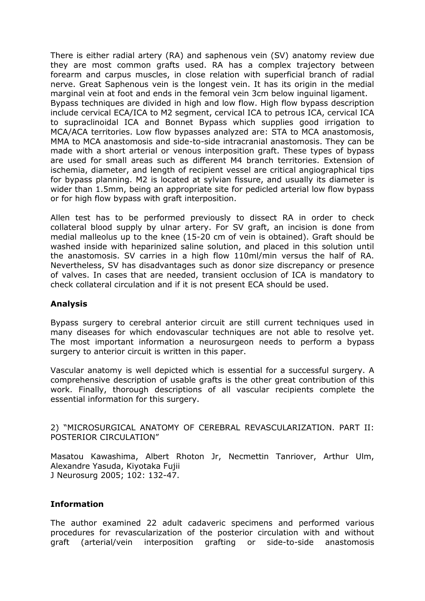There is either radial artery (RA) and saphenous vein (SV) anatomy review due they are most common grafts used. RA has a complex trajectory between forearm and carpus muscles, in close relation with superficial branch of radial nerve. Great Saphenous vein is the longest vein. It has its origin in the medial marginal vein at foot and ends in the femoral vein 3cm below inguinal ligament. Bypass techniques are divided in high and low flow. High flow bypass description include cervical ECA/ICA to M2 segment, cervical ICA to petrous ICA, cervical ICA to supraclinoidal ICA and Bonnet Bypass which supplies good irrigation to MCA/ACA territories. Low flow bypasses analyzed are: STA to MCA anastomosis, MMA to MCA anastomosis and side-to-side intracranial anastomosis. They can be made with a short arterial or venous interposition graft. These types of bypass are used for small areas such as different M4 branch territories. Extension of ischemia, diameter, and length of recipient vessel are critical angiographical tips for bypass planning. M2 is located at sylvian fissure, and usually its diameter is wider than 1.5mm, being an appropriate site for pedicled arterial low flow bypass or for high flow bypass with graft interposition.

Allen test has to be performed previously to dissect RA in order to check collateral blood supply by ulnar artery. For SV graft, an incision is done from medial malleolus up to the knee (15-20 cm of vein is obtained). Graft should be washed inside with heparinized saline solution, and placed in this solution until the anastomosis. SV carries in a high flow 110ml/min versus the half of RA. Nevertheless, SV has disadvantages such as donor size discrepancy or presence of valves. In cases that are needed, transient occlusion of ICA is mandatory to check collateral circulation and if it is not present ECA should be used.

# **Analysis**

Bypass surgery to cerebral anterior circuit are still current techniques used in many diseases for which endovascular techniques are not able to resolve yet. The most important information a neurosurgeon needs to perform a bypass surgery to anterior circuit is written in this paper.

Vascular anatomy is well depicted which is essential for a successful surgery. A comprehensive description of usable grafts is the other great contribution of this work. Finally, thorough descriptions of all vascular recipients complete the essential information for this surgery.

2) "MICROSURGICAL ANATOMY OF CEREBRAL REVASCULARIZATION. PART II: POSTERIOR CIRCULATION"

Masatou Kawashima, Albert Rhoton Jr, Necmettin Tanriover, Arthur Ulm, Alexandre Yasuda, Kiyotaka Fujii J Neurosurg 2005; 102: 132-47.

# **Information**

The author examined 22 adult cadaveric specimens and performed various procedures for revascularization of the posterior circulation with and without graft (arterial/vein interposition grafting or side-to-side anastomosis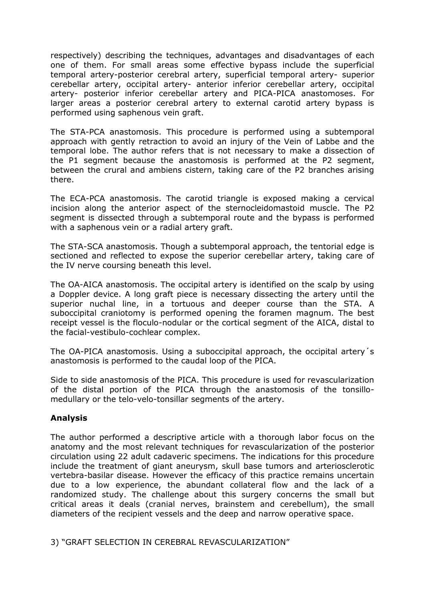respectively) describing the techniques, advantages and disadvantages of each one of them. For small areas some effective bypass include the superficial temporal artery-posterior cerebral artery, superficial temporal artery- superior cerebellar artery, occipital artery- anterior inferior cerebellar artery, occipital artery- posterior inferior cerebellar artery and PICA-PICA anastomoses. For larger areas a posterior cerebral artery to external carotid artery bypass is performed using saphenous vein graft.

The STA-PCA anastomosis. This procedure is performed using a subtemporal approach with gently retraction to avoid an injury of the Vein of Labbe and the temporal lobe. The author refers that is not necessary to make a dissection of the P1 segment because the anastomosis is performed at the P2 segment, between the crural and ambiens cistern, taking care of the P2 branches arising there.

The ECA-PCA anastomosis. The carotid triangle is exposed making a cervical incision along the anterior aspect of the sternocleidomastoid muscle. The P2 segment is dissected through a subtemporal route and the bypass is performed with a saphenous vein or a radial artery graft.

The STA-SCA anastomosis. Though a subtemporal approach, the tentorial edge is sectioned and reflected to expose the superior cerebellar artery, taking care of the IV nerve coursing beneath this level.

The OA-AICA anastomosis. The occipital artery is identified on the scalp by using a Doppler device. A long graft piece is necessary dissecting the artery until the superior nuchal line, in a tortuous and deeper course than the STA. A suboccipital craniotomy is performed opening the foramen magnum. The best receipt vessel is the floculo-nodular or the cortical segment of the AICA, distal to the facial-vestibulo-cochlear complex.

The OA-PICA anastomosis. Using a suboccipital approach, the occipital artery´s anastomosis is performed to the caudal loop of the PICA.

Side to side anastomosis of the PICA. This procedure is used for revascularization of the distal portion of the PICA through the anastomosis of the tonsillomedullary or the telo-velo-tonsillar segments of the artery.

# **Analysis**

The author performed a descriptive article with a thorough labor focus on the anatomy and the most relevant techniques for revascularization of the posterior circulation using 22 adult cadaveric specimens. The indications for this procedure include the treatment of giant aneurysm, skull base tumors and arteriosclerotic vertebra-basilar disease. However the efficacy of this practice remains uncertain due to a low experience, the abundant collateral flow and the lack of a randomized study. The challenge about this surgery concerns the small but critical areas it deals (cranial nerves, brainstem and cerebellum), the small diameters of the recipient vessels and the deep and narrow operative space.

3) "GRAFT SELECTION IN CEREBRAL REVASCULARIZATION"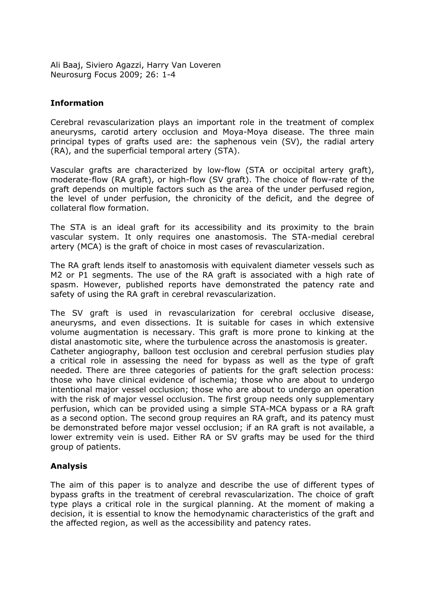Ali Baaj, Siviero Agazzi, Harry Van Loveren Neurosurg Focus 2009; 26: 1-4

#### **Information**

Cerebral revascularization plays an important role in the treatment of complex aneurysms, carotid artery occlusion and Moya-Moya disease. The three main principal types of grafts used are: the saphenous vein (SV), the radial artery (RA), and the superficial temporal artery (STA).

Vascular grafts are characterized by low-flow (STA or occipital artery graft), moderate-flow (RA graft), or high-flow (SV graft). The choice of flow-rate of the graft depends on multiple factors such as the area of the under perfused region, the level of under perfusion, the chronicity of the deficit, and the degree of collateral flow formation.

The STA is an ideal graft for its accessibility and its proximity to the brain vascular system. It only requires one anastomosis. The STA-medial cerebral artery (MCA) is the graft of choice in most cases of revascularization.

The RA graft lends itself to anastomosis with equivalent diameter vessels such as M2 or P1 segments. The use of the RA graft is associated with a high rate of spasm. However, published reports have demonstrated the patency rate and safety of using the RA graft in cerebral revascularization.

The SV graft is used in revascularization for cerebral occlusive disease, aneurysms, and even dissections. It is suitable for cases in which extensive volume augmentation is necessary. This graft is more prone to kinking at the distal anastomotic site, where the turbulence across the anastomosis is greater. Catheter angiography, balloon test occlusion and cerebral perfusion studies play a critical role in assessing the need for bypass as well as the type of graft needed. There are three categories of patients for the graft selection process: those who have clinical evidence of ischemia; those who are about to undergo intentional major vessel occlusion; those who are about to undergo an operation with the risk of major vessel occlusion. The first group needs only supplementary perfusion, which can be provided using a simple STA-MCA bypass or a RA graft as a second option. The second group requires an RA graft, and its patency must be demonstrated before major vessel occlusion; if an RA graft is not available, a lower extremity vein is used. Either RA or SV grafts may be used for the third group of patients.

# **Analysis**

The aim of this paper is to analyze and describe the use of different types of bypass grafts in the treatment of cerebral revascularization. The choice of graft type plays a critical role in the surgical planning. At the moment of making a decision, it is essential to know the hemodynamic characteristics of the graft and the affected region, as well as the accessibility and patency rates.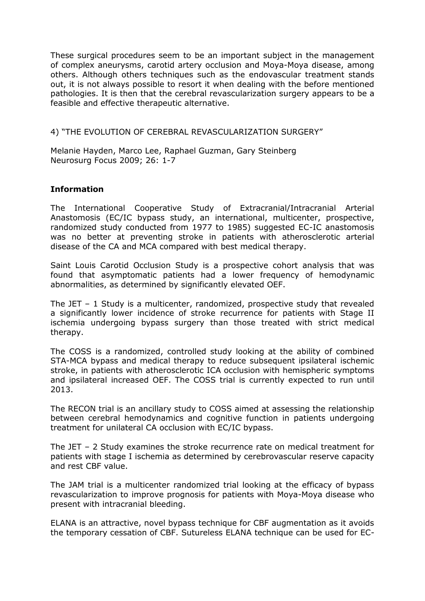These surgical procedures seem to be an important subject in the management of complex aneurysms, carotid artery occlusion and Moya-Moya disease, among others. Although others techniques such as the endovascular treatment stands out, it is not always possible to resort it when dealing with the before mentioned pathologies. It is then that the cerebral revascularization surgery appears to be a feasible and effective therapeutic alternative.

#### 4) "THE EVOLUTION OF CEREBRAL REVASCULARIZATION SURGERY"

Melanie Hayden, Marco Lee, Raphael Guzman, Gary Steinberg Neurosurg Focus 2009; 26: 1-7

# **Information**

The International Cooperative Study of Extracranial/Intracranial Arterial Anastomosis (EC/IC bypass study, an international, multicenter, prospective, randomized study conducted from 1977 to 1985) suggested EC-IC anastomosis was no better at preventing stroke in patients with atherosclerotic arterial disease of the CA and MCA compared with best medical therapy.

Saint Louis Carotid Occlusion Study is a prospective cohort analysis that was found that asymptomatic patients had a lower frequency of hemodynamic abnormalities, as determined by significantly elevated OEF.

The JET – 1 Study is a multicenter, randomized, prospective study that revealed a significantly lower incidence of stroke recurrence for patients with Stage II ischemia undergoing bypass surgery than those treated with strict medical therapy.

The COSS is a randomized, controlled study looking at the ability of combined STA-MCA bypass and medical therapy to reduce subsequent ipsilateral ischemic stroke, in patients with atherosclerotic ICA occlusion with hemispheric symptoms and ipsilateral increased OEF. The COSS trial is currently expected to run until 2013.

The RECON trial is an ancillary study to COSS aimed at assessing the relationship between cerebral hemodynamics and cognitive function in patients undergoing treatment for unilateral CA occlusion with EC/IC bypass.

The JET – 2 Study examines the stroke recurrence rate on medical treatment for patients with stage I ischemia as determined by cerebrovascular reserve capacity and rest CBF value.

The JAM trial is a multicenter randomized trial looking at the efficacy of bypass revascularization to improve prognosis for patients with Moya-Moya disease who present with intracranial bleeding.

ELANA is an attractive, novel bypass technique for CBF augmentation as it avoids the temporary cessation of CBF. Sutureless ELANA technique can be used for EC-